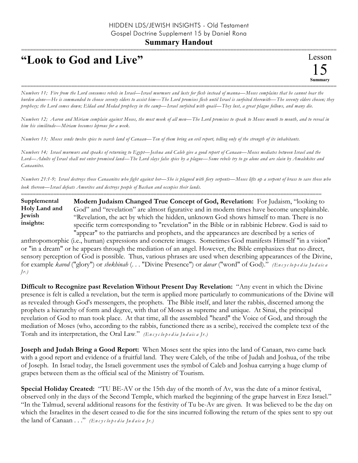## =========================================================================================================== **"Look to God and Live"**

=========================================================================================================== *Numbers 11; Fire from the Lord consumes rebels in Israel—Israel murmurs and lusts for flesh instead of manna—Moses complains that he cannot bear the burden alone—He is commanded to choose seventy elders to assist him—The Lord promises flesh until Israel is surfeited therewith—The seventy elders chosen; they prophesy; the Lord comes down; Eldad and Medad prophesy in the camp—Israel surfeited with quail—They lust, a great plague follows, and many die.*

*Numbers 12; Aaron and Miriam complain against Moses, the most meek of all men—The Lord promises to speak to Moses mouth to mouth, and to reveal in him his similitude—Miriam becomes leprous for a week.*

*Numbers 13; Moses sends twelve spies to search land of Canaan—Ten of them bring an evil report, telling only of the strength of its inhabitants.*

*Numbers 14; Israel murmurs and speaks of returning to Egypt—Joshua and Caleb give a good report of Canaan—Moses mediates between Israel and the Lord—Adults of Israel shall not enter promised land—The Lord slays false spies by a plague—Some rebels try to go alone and are slain by Amalekites and Canaanites.*

*Numbers 21:1-9; Israel destroys those Canaanites who fight against her—She is plagued with fiery serpents—Moses lifts up a serpent of brass to save those who look thereon—Israel defeats Amorites and destroys people of Bashan and occupies their lands.*

======================================================================================================

**Modern Judaism Changed True Concept of God, Revelation:** For Judaism, "looking to God" and "revelation" are almost figurative and in modern times have become unexplainable. "Revelation, the act by which the hidden, unknown God shows himself to man. There is no specific term corresponding to "revelation" in the Bible or in rabbinic Hebrew. God is said to "appear" to the patriarchs and prophets, and the appearances are described by a series of **Supplemental Holy Land and Jewish insights:**

anthropomorphic (i.e., human) expressions and concrete images. Sometimes God manifests Himself "in a vision" or "in a dream" or he appears through the mediation of an angel. However, the Bible emphasizes that no direct, sensory perception of God is possible. Thus, various phrases are used when describing appearances of the Divine, for example *kavod* ("glory") or *shekhinah* (. . . "Divine Presence") or *davar* ("word" of God)." *(En c y c lo p e d ia Ju d a ic a Jr.)*

**Difficult to Recognize past Revelation Without Present Day Revelation:** "Any event in which the Divine presence is felt is called a revelation, but the term is applied more particularly to communications of the Divine will as revealed through God's messengers, the prophets. The Bible itself, and later the rabbis, discerned among the prophets a hierarchy of form and degree, with that of Moses as supreme and unique. At Sinai, the principal revelation of God to man took place. At that time, all the assembled "heard" the Voice of God, and through the mediation of Moses (who, according to the rabbis, functioned there as a scribe), received the complete text of the Torah and its interpretation, the Oral Law." *(En c y c lo p e d ia Ju d a ic a Jr.)*

**Joseph and Judah Bring a Good Report:** When Moses sent the spies into the land of Canaan, two came back with a good report and evidence of a fruitful land. They were Caleb, of the tribe of Judah and Joshua, of the tribe of Joseph. In Israel today, the Israeli government uses the symbol of Caleb and Joshua carrying a huge clump of grapes between them as the official seal of the Ministry of Tourism.

**Special Holiday Created:** "TU BE-AV or the 15th day of the month of Av, was the date of a minor festival, observed only in the days of the Second Temple, which marked the beginning of the grape harvest in Erez Israel." "In the Talmud, several additional reasons for the festivity of Tu be-Av are given. It was believed to be the day on which the Israelites in the desert ceased to die for the sins incurred following the return of the spies sent to spy out the land of Canaan . . ." *(En c y c lo p e d ia Ju d a ic a Jr.)*